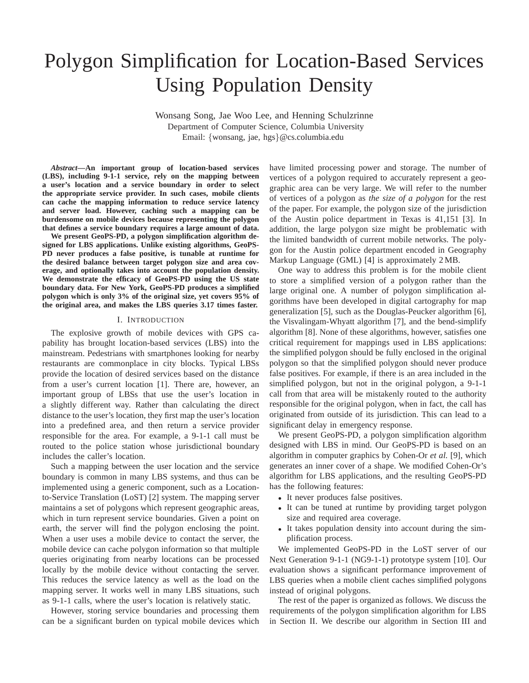# Polygon Simplification for Location-Based Services Using Population Density

Wonsang Song, Jae Woo Lee, and Henning Schulzrinne Department of Computer Science, Columbia University Email: {wonsang, jae, hgs}@cs.columbia.edu

*Abstract***—An important group of location-based services (LBS), including 9-1-1 service, rely on the mapping between a user's location and a service boundary in order to select the appropriate service provider. In such cases, mobile clients can cache the mapping information to reduce service latency and server load. However, caching such a mapping can be burdensome on mobile devices because representing the polygon that defines a service boundary requires a large amount of data.**

**We present GeoPS-PD, a polygon simplification algorithm designed for LBS applications. Unlike existing algorithms, GeoPS-PD never produces a false positive, is tunable at runtime for the desired balance between target polygon size and area coverage, and optionally takes into account the population density. We demonstrate the efficacy of GeoPS-PD using the US state boundary data. For New York, GeoPS-PD produces a simplified polygon which is only 3% of the original size, yet covers 95% of the original area, and makes the LBS queries 3.17 times faster.**

#### I. INTRODUCTION

The explosive growth of mobile devices with GPS capability has brought location-based services (LBS) into the mainstream. Pedestrians with smartphones looking for nearby restaurants are commonplace in city blocks. Typical LBSs provide the location of desired services based on the distance from a user's current location [1]. There are, however, an important group of LBSs that use the user's location in a slightly different way. Rather than calculating the direct distance to the user's location, they first map the user's location into a predefined area, and then return a service provider responsible for the area. For example, a 9-1-1 call must be routed to the police station whose jurisdictional boundary includes the caller's location.

Such a mapping between the user location and the service boundary is common in many LBS systems, and thus can be implemented using a generic component, such as a Locationto-Service Translation (LoST) [2] system. The mapping server maintains a set of polygons which represent geographic areas, which in turn represent service boundaries. Given a point on earth, the server will find the polygon enclosing the point. When a user uses a mobile device to contact the server, the mobile device can cache polygon information so that multiple queries originating from nearby locations can be processed locally by the mobile device without contacting the server. This reduces the service latency as well as the load on the mapping server. It works well in many LBS situations, such as 9-1-1 calls, where the user's location is relatively static.

However, storing service boundaries and processing them can be a significant burden on typical mobile devices which

have limited processing power and storage. The number of vertices of a polygon required to accurately represent a geographic area can be very large. We will refer to the number of vertices of a polygon as *the size of a polygon* for the rest of the paper. For example, the polygon size of the jurisdiction of the Austin police department in Texas is 41,151 [3]. In addition, the large polygon size might be problematic with the limited bandwidth of current mobile networks. The polygon for the Austin police department encoded in Geography Markup Language (GML) [4] is approximately 2 MB.

One way to address this problem is for the mobile client to store a simplified version of a polygon rather than the large original one. A number of polygon simplification algorithms have been developed in digital cartography for map generalization [5], such as the Douglas-Peucker algorithm [6], the Visvalingam-Whyatt algorithm [7], and the bend-simplify algorithm [8]. None of these algorithms, however, satisfies one critical requirement for mappings used in LBS applications: the simplified polygon should be fully enclosed in the original polygon so that the simplified polygon should never produce false positives. For example, if there is an area included in the simplified polygon, but not in the original polygon, a 9-1-1 call from that area will be mistakenly routed to the authority responsible for the original polygon, when in fact, the call has originated from outside of its jurisdiction. This can lead to a significant delay in emergency response.

We present GeoPS-PD, a polygon simplification algorithm designed with LBS in mind. Our GeoPS-PD is based on an algorithm in computer graphics by Cohen-Or *et al.* [9], which generates an inner cover of a shape. We modified Cohen-Or's algorithm for LBS applications, and the resulting GeoPS-PD has the following features:

- It never produces false positives.
- It can be tuned at runtime by providing target polygon size and required area coverage.
- It takes population density into account during the simplification process.

We implemented GeoPS-PD in the LoST server of our Next Generation 9-1-1 (NG9-1-1) prototype system [10]. Our evaluation shows a significant performance improvement of LBS queries when a mobile client caches simplified polygons instead of original polygons.

The rest of the paper is organized as follows. We discuss the requirements of the polygon simplification algorithm for LBS in Section II. We describe our algorithm in Section III and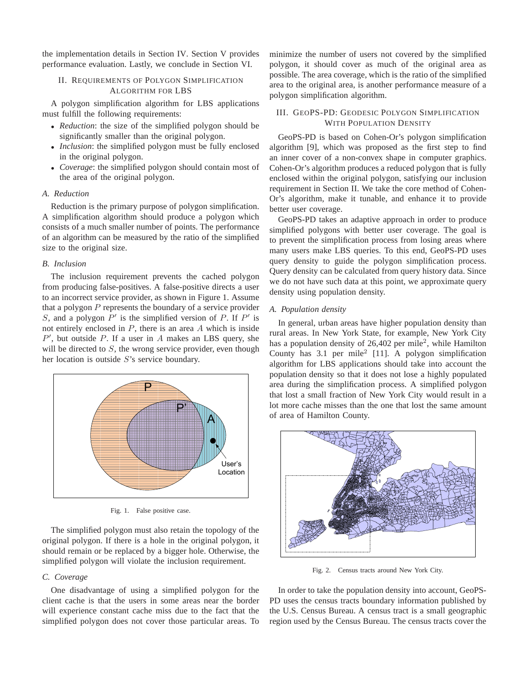the implementation details in Section IV. Section V provides performance evaluation. Lastly, we conclude in Section VI.

# II. REQUIREMENTS OF POLYGON SIMPLIFICATION ALGORITHM FOR LBS

A polygon simplification algorithm for LBS applications must fulfill the following requirements:

- *Reduction*: the size of the simplified polygon should be significantly smaller than the original polygon.
- *Inclusion*: the simplified polygon must be fully enclosed in the original polygon.
- *Coverage*: the simplified polygon should contain most of the area of the original polygon.

## *A. Reduction*

Reduction is the primary purpose of polygon simplification. A simplification algorithm should produce a polygon which consists of a much smaller number of points. The performance of an algorithm can be measured by the ratio of the simplified size to the original size.

## *B. Inclusion*

The inclusion requirement prevents the cached polygon from producing false-positives. A false-positive directs a user to an incorrect service provider, as shown in Figure 1. Assume that a polygon  $P$  represents the boundary of a service provider S, and a polygon  $P'$  is the simplified version of P. If  $P'$  is not entirely enclosed in  $P$ , there is an area  $A$  which is inside  $P'$ , but outside  $P$ . If a user in  $A$  makes an LBS query, she will be directed to  $S$ , the wrong service provider, even though her location is outside S's service boundary.



Fig. 1. False positive case.

The simplified polygon must also retain the topology of the original polygon. If there is a hole in the original polygon, it should remain or be replaced by a bigger hole. Otherwise, the simplified polygon will violate the inclusion requirement.

# *C. Coverage*

One disadvantage of using a simplified polygon for the client cache is that the users in some areas near the border will experience constant cache miss due to the fact that the simplified polygon does not cover those particular areas. To

minimize the number of users not covered by the simplified polygon, it should cover as much of the original area as possible. The area coverage, which is the ratio of the simplified area to the original area, is another performance measure of a polygon simplification algorithm.

# III. GEOPS-PD: GEODESIC POLYGON SIMPLIFICATION WITH POPULATION DENSITY

GeoPS-PD is based on Cohen-Or's polygon simplification algorithm [9], which was proposed as the first step to find an inner cover of a non-convex shape in computer graphics. Cohen-Or's algorithm produces a reduced polygon that is fully enclosed within the original polygon, satisfying our inclusion requirement in Section II. We take the core method of Cohen-Or's algorithm, make it tunable, and enhance it to provide better user coverage.

GeoPS-PD takes an adaptive approach in order to produce simplified polygons with better user coverage. The goal is to prevent the simplification process from losing areas where many users make LBS queries. To this end, GeoPS-PD uses query density to guide the polygon simplification process. Query density can be calculated from query history data. Since we do not have such data at this point, we approximate query density using population density.

#### *A. Population density*

In general, urban areas have higher population density than rural areas. In New York State, for example, New York City has a population density of 26,402 per mile<sup>2</sup>, while Hamilton County has  $3.1$  per mile<sup>2</sup> [11]. A polygon simplification algorithm for LBS applications should take into account the population density so that it does not lose a highly populated area during the simplification process. A simplified polygon that lost a small fraction of New York City would result in a lot more cache misses than the one that lost the same amount of area of Hamilton County.



Fig. 2. Census tracts around New York City.

In order to take the population density into account, GeoPS-PD uses the census tracts boundary information published by the U.S. Census Bureau. A census tract is a small geographic region used by the Census Bureau. The census tracts cover the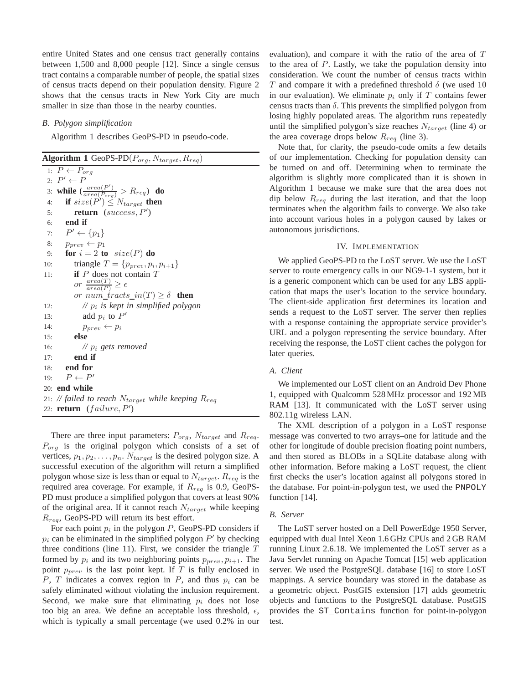entire United States and one census tract generally contains between 1,500 and 8,000 people [12]. Since a single census tract contains a comparable number of people, the spatial sizes of census tracts depend on their population density. Figure 2 shows that the census tracts in New York City are much smaller in size than those in the nearby counties.

## *B. Polygon simplification*

Algorithm 1 describes GeoPS-PD in pseudo-code.

## **Algorithm 1** GeoPS-PD $(P_{org}, N_{target}, R_{req})$

1:  $P \leftarrow P_{org}$ 2:  $P' \leftarrow P$ 3: **while**  $\left(\frac{area(P')}{area(P_{org})}\right) > R_{req}$  **do** 4: **if**  $size(P') \leq N_{target}$  **then** 5: **return**  $(success, P')$ 6: **end if** 7:  $P' \leftarrow \{p_1\}$ 8:  $p_{prev} \leftarrow p_1$ 9: **for**  $i = 2$  **to**  $size(P)$  **do** 10: triangle  $T = \{p_{prev}, p_i, p_{i+1}\}\$ 11: **if** P does not contain T or  $\frac{area(T)}{area(P)} \geq \epsilon$ or  $num\_tracks\_in(T) \geq \delta$  **then** 12:  $\mathcal{N} p_i$  is kept in simplified polygon 13: add  $p_i$  to  $P'$ 14:  $p_{prev} \leftarrow p_i$ 15: **else** 16:  $\mathcal{N} p_i$  *gets removed* 17: **end if** 18: **end for** 19:  $P \leftarrow P'$ 20: **end while** 21: // failed to reach  $N_{target}$  while keeping  $R_{req}$ 22: **return**  $(f \text{ailure}, P')$ 

There are three input parameters:  $P_{org}$ ,  $N_{target}$  and  $R_{req}$ .  $P_{org}$  is the original polygon which consists of a set of vertices,  $p_1, p_2, \ldots, p_n$ .  $N_{target}$  is the desired polygon size. A successful execution of the algorithm will return a simplified polygon whose size is less than or equal to  $N_{target}$ .  $R_{req}$  is the required area coverage. For example, if  $R_{req}$  is 0.9, GeoPS-PD must produce a simplified polygon that covers at least 90% of the original area. If it cannot reach  $N_{target}$  while keeping  $R_{rea}$ , GeoPS-PD will return its best effort.

For each point  $p_i$  in the polygon P, GeoPS-PD considers if  $p_i$  can be eliminated in the simplified polygon  $P'$  by checking three conditions (line 11). First, we consider the triangle  $T$ formed by  $p_i$  and its two neighboring points  $p_{prev}, p_{i+1}$ . The point  $p_{prev}$  is the last point kept. If T is fully enclosed in P, T indicates a convex region in P, and thus  $p_i$  can be safely eliminated without violating the inclusion requirement. Second, we make sure that eliminating  $p_i$  does not lose too big an area. We define an acceptable loss threshold,  $\epsilon$ , which is typically a small percentage (we used 0.2% in our evaluation), and compare it with the ratio of the area of T to the area of  $P$ . Lastly, we take the population density into consideration. We count the number of census tracts within T and compare it with a predefined threshold  $\delta$  (we used 10 in our evaluation). We eliminate  $p_i$  only if T contains fewer census tracts than  $\delta$ . This prevents the simplified polygon from losing highly populated areas. The algorithm runs repeatedly until the simplified polygon's size reaches  $N_{target}$  (line 4) or the area coverage drops below  $R_{req}$  (line 3).

Note that, for clarity, the pseudo-code omits a few details of our implementation. Checking for population density can be turned on and off. Determining when to terminate the algorithm is slightly more complicated than it is shown in Algorithm 1 because we make sure that the area does not dip below  $R_{req}$  during the last iteration, and that the loop terminates when the algorithm fails to converge. We also take into account various holes in a polygon caused by lakes or autonomous jurisdictions.

## IV. IMPLEMENTATION

We applied GeoPS-PD to the LoST server. We use the LoST server to route emergency calls in our NG9-1-1 system, but it is a generic component which can be used for any LBS application that maps the user's location to the service boundary. The client-side application first determines its location and sends a request to the LoST server. The server then replies with a response containing the appropriate service provider's URL and a polygon representing the service boundary. After receiving the response, the LoST client caches the polygon for later queries.

## *A. Client*

We implemented our LoST client on an Android Dev Phone 1, equipped with Qualcomm 528 MHz processor and 192 MB RAM [13]. It communicated with the LoST server using 802.11g wireless LAN.

The XML description of a polygon in a LoST response message was converted to two arrays–one for latitude and the other for longitude of double precision floating point numbers, and then stored as BLOBs in a SQLite database along with other information. Before making a LoST request, the client first checks the user's location against all polygons stored in the database. For point-in-polygon test, we used the PNPOLY function [14].

## *B. Server*

The LoST server hosted on a Dell PowerEdge 1950 Server, equipped with dual Intel Xeon 1.6 GHz CPUs and 2 GB RAM running Linux 2.6.18. We implemented the LoST server as a Java Servlet running on Apache Tomcat [15] web application server. We used the PostgreSQL database [16] to store LoST mappings. A service boundary was stored in the database as a geometric object. PostGIS extension [17] adds geometric objects and functions to the PostgreSQL database. PostGIS provides the ST\_Contains function for point-in-polygon test.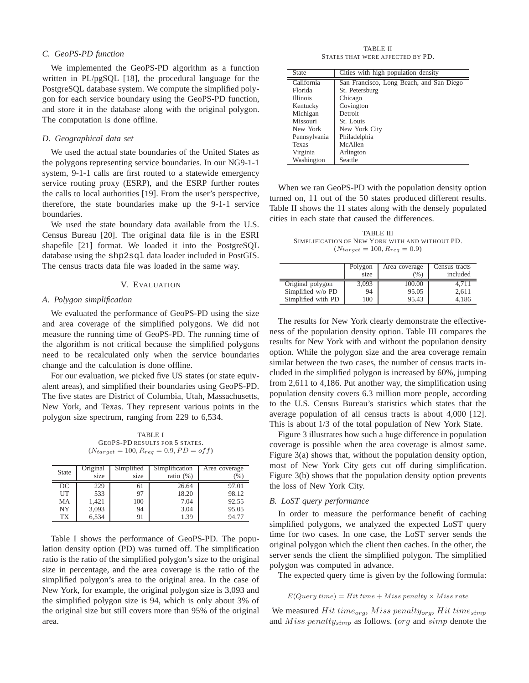#### *C. GeoPS-PD function*

We implemented the GeoPS-PD algorithm as a function written in PL/pgSQL [18], the procedural language for the PostgreSQL database system. We compute the simplified polygon for each service boundary using the GeoPS-PD function, and store it in the database along with the original polygon. The computation is done offline.

## *D. Geographical data set*

We used the actual state boundaries of the United States as the polygons representing service boundaries. In our NG9-1-1 system, 9-1-1 calls are first routed to a statewide emergency service routing proxy (ESRP), and the ESRP further routes the calls to local authorities [19]. From the user's perspective, therefore, the state boundaries make up the 9-1-1 service boundaries.

We used the state boundary data available from the U.S. Census Bureau [20]. The original data file is in the ESRI shapefile [21] format. We loaded it into the PostgreSQL database using the shp2sql data loader included in PostGIS. The census tracts data file was loaded in the same way.

## V. EVALUATION

## *A. Polygon simplification*

ż

We evaluated the performance of GeoPS-PD using the size and area coverage of the simplified polygons. We did not measure the running time of GeoPS-PD. The running time of the algorithm is not critical because the simplified polygons need to be recalculated only when the service boundaries change and the calculation is done offline.

For our evaluation, we picked five US states (or state equivalent areas), and simplified their boundaries using GeoPS-PD. The five states are District of Columbia, Utah, Massachusetts, New York, and Texas. They represent various points in the polygon size spectrum, ranging from 229 to 6,534.

TABLE I GEOPS-PD RESULTS FOR 5 STATES.  $(N_{target} = 100, R_{req} = 0.9, PD = off)$ 

| <b>State</b> | Original<br>size | Simplified<br>size | Simplification<br>ratio $(\%)$ | Area coverage<br>$\frac{9}{6}$ |
|--------------|------------------|--------------------|--------------------------------|--------------------------------|
| DC           | 229              | 61                 | 26.64                          | 97.01                          |
| UT           | 533              | 97                 | 18.20                          | 98.12                          |
| МA           | 1,421            | 100                | 7.04                           | 92.55                          |
| NY           | 3,093            | 94                 | 3.04                           | 95.05                          |
| <b>TX</b>    | 6,534            | 91                 | 1.39                           | 94.77                          |

Table I shows the performance of GeoPS-PD. The population density option (PD) was turned off. The simplification ratio is the ratio of the simplified polygon's size to the original size in percentage, and the area coverage is the ratio of the simplified polygon's area to the original area. In the case of New York, for example, the original polygon size is 3,093 and the simplified polygon size is 94, which is only about 3% of the original size but still covers more than 95% of the original area.

TABLE II STATES THAT WERE AFFECTED BY PD.

| State           | Cities with high population density      |  |  |  |
|-----------------|------------------------------------------|--|--|--|
| California      | San Francisco, Long Beach, and San Diego |  |  |  |
| Florida         | St. Petersburg                           |  |  |  |
| <b>Illinois</b> | Chicago                                  |  |  |  |
| Kentucky        | Covington                                |  |  |  |
| Michigan        | Detroit                                  |  |  |  |
| Missouri        | St. Louis                                |  |  |  |
| New York        | New York City                            |  |  |  |
| Pennsylvania    | Philadelphia                             |  |  |  |
| Texas           | McAllen                                  |  |  |  |
| Virginia        | Arlington                                |  |  |  |
| Washington      | Seattle                                  |  |  |  |

When we ran GeoPS-PD with the population density option turned on, 11 out of the 50 states produced different results. Table II shows the 11 states along with the densely populated cities in each state that caused the differences.

TABLE III SIMPLIFICATION OF NEW YORK WITH AND WITHOUT PD.  $(N_{target} = 100, R_{req} = 0.9)$ 

|                    | Polygon<br>size | Area coverage<br>$\frac{1}{2}$ | Census tracts<br>included |
|--------------------|-----------------|--------------------------------|---------------------------|
| Original polygon   | 3,093           | 100.00                         | 4.711                     |
| Simplified w/o PD  | 94              | 95.05                          | 2,611                     |
| Simplified with PD | 100             | 95.43                          | 4.186                     |

The results for New York clearly demonstrate the effectiveness of the population density option. Table III compares the results for New York with and without the population density option. While the polygon size and the area coverage remain similar between the two cases, the number of census tracts included in the simplified polygon is increased by 60%, jumping from 2,611 to 4,186. Put another way, the simplification using population density covers 6.3 million more people, according to the U.S. Census Bureau's statistics which states that the average population of all census tracts is about 4,000 [12]. This is about 1/3 of the total population of New York State.

Figure 3 illustrates how such a huge difference in population coverage is possible when the area coverage is almost same. Figure 3(a) shows that, without the population density option, most of New York City gets cut off during simplification. Figure 3(b) shows that the population density option prevents the loss of New York City.

## *B. LoST query performance*

In order to measure the performance benefit of caching simplified polygons, we analyzed the expected LoST query time for two cases. In one case, the LoST server sends the original polygon which the client then caches. In the other, the server sends the client the simplified polygon. The simplified polygon was computed in advance.

The expected query time is given by the following formula:

 $E(Query time) = Hit time + Miss penalty \times Miss rate$ 

We measured Hit time<sub>org</sub>, Miss penalty<sub>org</sub>, Hit time<sub>simp</sub> and  $Miss penalty_{simp}$  as follows. (org and  $simp$  denote the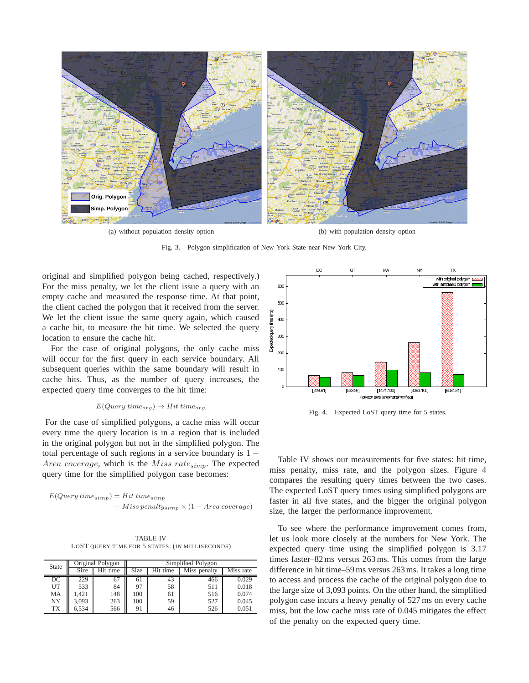

(a) without population density option (b) with population density option

Fig. 3. Polygon simplification of New York State near New York City.

original and simplified polygon being cached, respectively.) For the miss penalty, we let the client issue a query with an empty cache and measured the response time. At that point, the client cached the polygon that it received from the server. We let the client issue the same query again, which caused a cache hit, to measure the hit time. We selected the query location to ensure the cache hit.

For the case of original polygons, the only cache miss will occur for the first query in each service boundary. All subsequent queries within the same boundary will result in cache hits. Thus, as the number of query increases, the expected query time converges to the hit time:

#### $E(Query \ time_{org}) \rightarrow Hit \ time_{org}$

For the case of simplified polygons, a cache miss will occur every time the query location is in a region that is included in the original polygon but not in the simplified polygon. The total percentage of such regions in a service boundary is  $1 -$ Area coverage, which is the Miss rate  $s_{\text{imp}}$ . The expected query time for the simplified polygon case becomes:

$$
E(Query \, time_{simp}) = Hit \, time_{simp
$$
  
+ 
$$
Miss \, penalty_{simp} \times (1 - Area \, coverage)
$$

TABLE IV LOST QUERY TIME FOR 5 STATES. (IN MILLISECONDS)

| <b>State</b> | Original Polygon |          | Simplified Polygon |          |              |           |
|--------------|------------------|----------|--------------------|----------|--------------|-----------|
|              | S <sub>ize</sub> | Hit time | Size               | Hit time | Miss penalty | Miss rate |
| DC           | 229              | O/       | 61                 | 43       | 466          | 0.029     |
| UT           | 533              | 84       | 97                 | 58       | 511          | 0.018     |
| МA           | l.421            | 148      | 100                | 61       | 516          | 0.074     |
| NY           | 3,093            | 263      | 100                | 59       | 527          | 0.045     |
| <b>TX</b>    | 6.534            | 566      | 91                 | 46       | 526          | 0.051     |



Fig. 4. Expected LoST query time for 5 states.

Table IV shows our measurements for five states: hit time, miss penalty, miss rate, and the polygon sizes. Figure 4 compares the resulting query times between the two cases. The expected LoST query times using simplified polygons are faster in all five states, and the bigger the original polygon size, the larger the performance improvement.

To see where the performance improvement comes from, let us look more closely at the numbers for New York. The expected query time using the simplified polygon is 3.17 times faster–82 ms versus 263 ms. This comes from the large difference in hit time–59 ms versus 263 ms. It takes a long time to access and process the cache of the original polygon due to the large size of 3,093 points. On the other hand, the simplified polygon case incurs a heavy penalty of 527 ms on every cache miss, but the low cache miss rate of 0.045 mitigates the effect of the penalty on the expected query time.